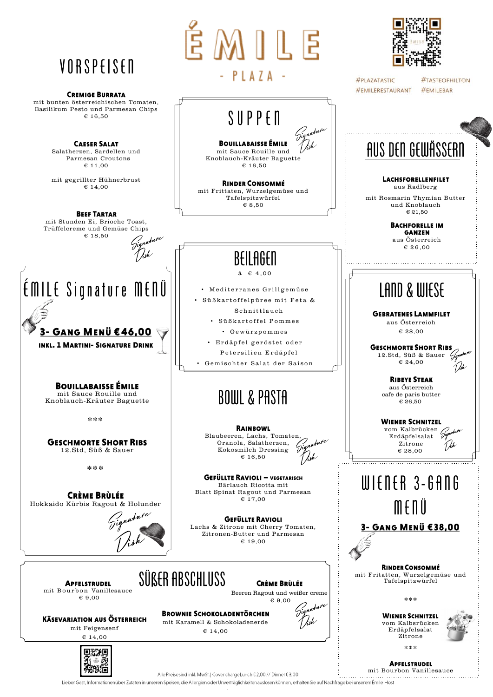